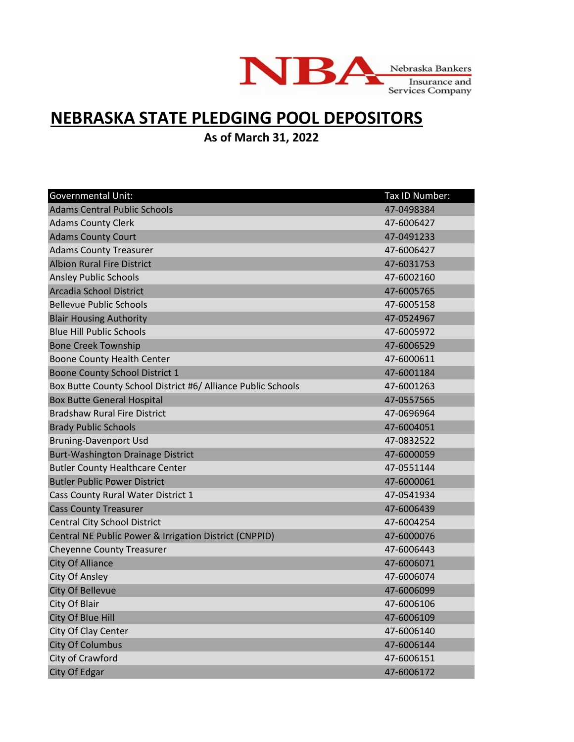

## **NEBRASKA STATE PLEDGING POOL DEPOSITORS**

**As of March 31, 2022**

| <b>Governmental Unit:</b>                                    | Tax ID Number: |
|--------------------------------------------------------------|----------------|
| <b>Adams Central Public Schools</b>                          | 47-0498384     |
| <b>Adams County Clerk</b>                                    | 47-6006427     |
| <b>Adams County Court</b>                                    | 47-0491233     |
| <b>Adams County Treasurer</b>                                | 47-6006427     |
| <b>Albion Rural Fire District</b>                            | 47-6031753     |
| <b>Ansley Public Schools</b>                                 | 47-6002160     |
| Arcadia School District                                      | 47-6005765     |
| <b>Bellevue Public Schools</b>                               | 47-6005158     |
| <b>Blair Housing Authority</b>                               | 47-0524967     |
| <b>Blue Hill Public Schools</b>                              | 47-6005972     |
| <b>Bone Creek Township</b>                                   | 47-6006529     |
| <b>Boone County Health Center</b>                            | 47-6000611     |
| Boone County School District 1                               | 47-6001184     |
| Box Butte County School District #6/ Alliance Public Schools | 47-6001263     |
| <b>Box Butte General Hospital</b>                            | 47-0557565     |
| <b>Bradshaw Rural Fire District</b>                          | 47-0696964     |
| <b>Brady Public Schools</b>                                  | 47-6004051     |
| <b>Bruning-Davenport Usd</b>                                 | 47-0832522     |
| <b>Burt-Washington Drainage District</b>                     | 47-6000059     |
| <b>Butler County Healthcare Center</b>                       | 47-0551144     |
| <b>Butler Public Power District</b>                          | 47-6000061     |
| Cass County Rural Water District 1                           | 47-0541934     |
| <b>Cass County Treasurer</b>                                 | 47-6006439     |
| <b>Central City School District</b>                          | 47-6004254     |
| Central NE Public Power & Irrigation District (CNPPID)       | 47-6000076     |
| <b>Cheyenne County Treasurer</b>                             | 47-6006443     |
| <b>City Of Alliance</b>                                      | 47-6006071     |
| <b>City Of Ansley</b>                                        | 47-6006074     |
| City Of Bellevue                                             | 47-6006099     |
| City Of Blair                                                | 47-6006106     |
| City Of Blue Hill                                            | 47-6006109     |
| City Of Clay Center                                          | 47-6006140     |
| <b>City Of Columbus</b>                                      | 47-6006144     |
| City of Crawford                                             | 47-6006151     |
| City Of Edgar                                                | 47-6006172     |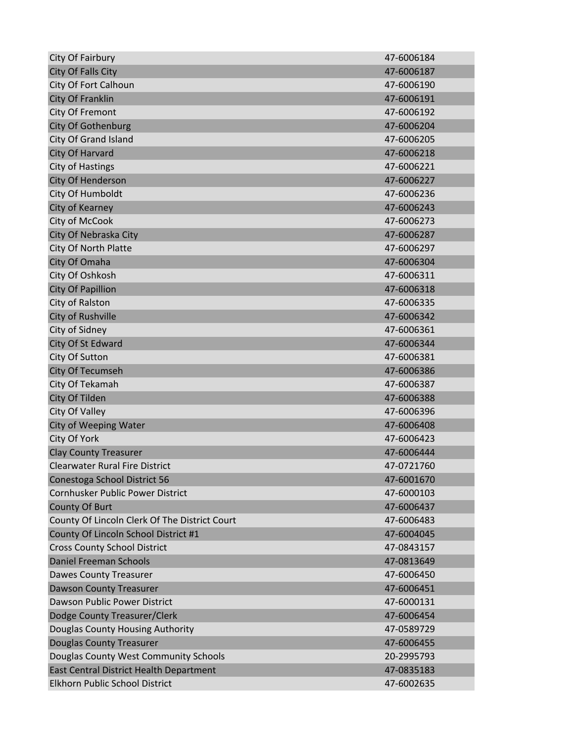| City Of Fairbury                              | 47-6006184 |
|-----------------------------------------------|------------|
| <b>City Of Falls City</b>                     | 47-6006187 |
| City Of Fort Calhoun                          | 47-6006190 |
| City Of Franklin                              | 47-6006191 |
| City Of Fremont                               | 47-6006192 |
| <b>City Of Gothenburg</b>                     | 47-6006204 |
| City Of Grand Island                          | 47-6006205 |
| <b>City Of Harvard</b>                        | 47-6006218 |
| <b>City of Hastings</b>                       | 47-6006221 |
| City Of Henderson                             | 47-6006227 |
| City Of Humboldt                              | 47-6006236 |
| City of Kearney                               | 47-6006243 |
| City of McCook                                | 47-6006273 |
| City Of Nebraska City                         | 47-6006287 |
| City Of North Platte                          | 47-6006297 |
| City Of Omaha                                 | 47-6006304 |
| City Of Oshkosh                               | 47-6006311 |
| <b>City Of Papillion</b>                      | 47-6006318 |
| City of Ralston                               | 47-6006335 |
| City of Rushville                             | 47-6006342 |
| City of Sidney                                | 47-6006361 |
| City Of St Edward                             | 47-6006344 |
| City Of Sutton                                | 47-6006381 |
| City Of Tecumseh                              | 47-6006386 |
| City Of Tekamah                               | 47-6006387 |
| City Of Tilden                                | 47-6006388 |
| City Of Valley                                | 47-6006396 |
| City of Weeping Water                         | 47-6006408 |
| City Of York                                  | 47-6006423 |
| <b>Clay County Treasurer</b>                  | 47-6006444 |
| <b>Clearwater Rural Fire District</b>         | 47-0721760 |
| Conestoga School District 56                  | 47-6001670 |
| Cornhusker Public Power District              | 47-6000103 |
| County Of Burt                                | 47-6006437 |
| County Of Lincoln Clerk Of The District Court | 47-6006483 |
| County Of Lincoln School District #1          | 47-6004045 |
| <b>Cross County School District</b>           | 47-0843157 |
| <b>Daniel Freeman Schools</b>                 | 47-0813649 |
| <b>Dawes County Treasurer</b>                 | 47-6006450 |
| <b>Dawson County Treasurer</b>                | 47-6006451 |
| Dawson Public Power District                  | 47-6000131 |
| Dodge County Treasurer/Clerk                  | 47-6006454 |
| Douglas County Housing Authority              | 47-0589729 |
| <b>Douglas County Treasurer</b>               | 47-6006455 |
| Douglas County West Community Schools         | 20-2995793 |
| East Central District Health Department       | 47-0835183 |
| Elkhorn Public School District                | 47-6002635 |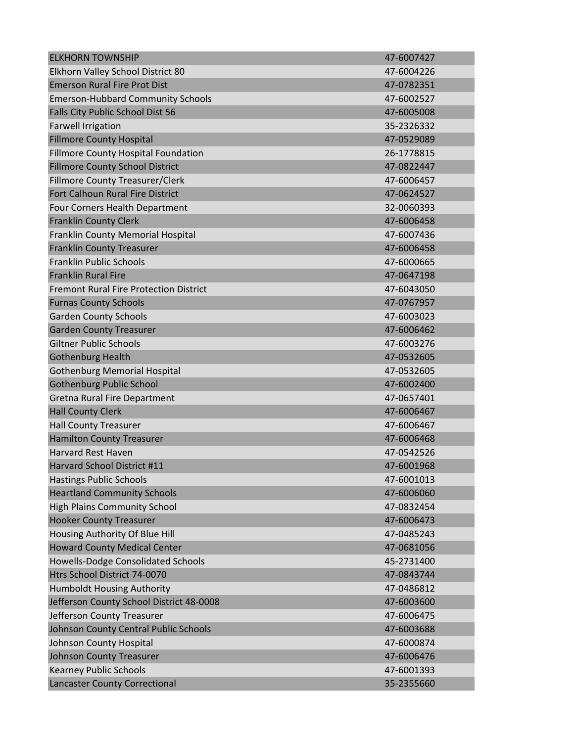| <b>ELKHORN TOWNSHIP</b>                       | 47-6007427 |
|-----------------------------------------------|------------|
| Elkhorn Valley School District 80             | 47-6004226 |
| <b>Emerson Rural Fire Prot Dist</b>           | 47-0782351 |
| <b>Emerson-Hubbard Community Schools</b>      | 47-6002527 |
| Falls City Public School Dist 56              | 47-6005008 |
| <b>Farwell Irrigation</b>                     | 35-2326332 |
| <b>Fillmore County Hospital</b>               | 47-0529089 |
| <b>Fillmore County Hospital Foundation</b>    | 26-1778815 |
| <b>Fillmore County School District</b>        | 47-0822447 |
| <b>Fillmore County Treasurer/Clerk</b>        | 47-6006457 |
| Fort Calhoun Rural Fire District              | 47-0624527 |
| Four Corners Health Department                | 32-0060393 |
| <b>Franklin County Clerk</b>                  | 47-6006458 |
| Franklin County Memorial Hospital             | 47-6007436 |
| <b>Franklin County Treasurer</b>              | 47-6006458 |
| <b>Franklin Public Schools</b>                | 47-6000665 |
| <b>Franklin Rural Fire</b>                    | 47-0647198 |
| <b>Fremont Rural Fire Protection District</b> | 47-6043050 |
| <b>Furnas County Schools</b>                  | 47-0767957 |
| <b>Garden County Schools</b>                  | 47-6003023 |
| <b>Garden County Treasurer</b>                | 47-6006462 |
| <b>Giltner Public Schools</b>                 | 47-6003276 |
| <b>Gothenburg Health</b>                      | 47-0532605 |
| <b>Gothenburg Memorial Hospital</b>           | 47-0532605 |
| <b>Gothenburg Public School</b>               | 47-6002400 |
| Gretna Rural Fire Department                  | 47-0657401 |
| <b>Hall County Clerk</b>                      | 47-6006467 |
| <b>Hall County Treasurer</b>                  | 47-6006467 |
| <b>Hamilton County Treasurer</b>              | 47-6006468 |
| <b>Harvard Rest Haven</b>                     | 47-0542526 |
| Harvard School District #11                   | 47-6001968 |
| <b>Hastings Public Schools</b>                | 47-6001013 |
| <b>Heartland Community Schools</b>            | 47-6006060 |
| <b>High Plains Community School</b>           | 47-0832454 |
| <b>Hooker County Treasurer</b>                | 47-6006473 |
| Housing Authority Of Blue Hill                | 47-0485243 |
| <b>Howard County Medical Center</b>           | 47-0681056 |
| Howells-Dodge Consolidated Schools            | 45-2731400 |
| Htrs School District 74-0070                  | 47-0843744 |
| Humboldt Housing Authority                    | 47-0486812 |
| Jefferson County School District 48-0008      | 47-6003600 |
| Jefferson County Treasurer                    | 47-6006475 |
| Johnson County Central Public Schools         | 47-6003688 |
| Johnson County Hospital                       | 47-6000874 |
| <b>Johnson County Treasurer</b>               | 47-6006476 |
| <b>Kearney Public Schools</b>                 | 47-6001393 |
| <b>Lancaster County Correctional</b>          | 35-2355660 |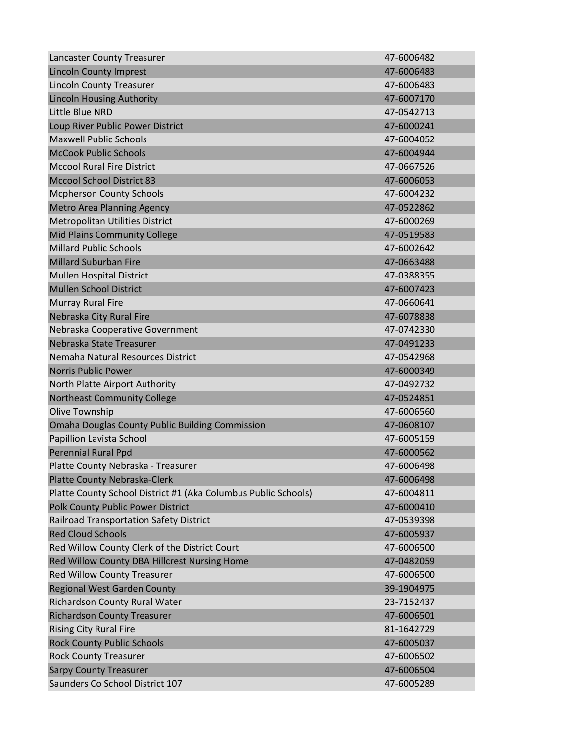| Lancaster County Treasurer                                     | 47-6006482 |
|----------------------------------------------------------------|------------|
| <b>Lincoln County Imprest</b>                                  | 47-6006483 |
| <b>Lincoln County Treasurer</b>                                | 47-6006483 |
| <b>Lincoln Housing Authority</b>                               | 47-6007170 |
| Little Blue NRD                                                | 47-0542713 |
| Loup River Public Power District                               | 47-6000241 |
| <b>Maxwell Public Schools</b>                                  | 47-6004052 |
| <b>McCook Public Schools</b>                                   | 47-6004944 |
| <b>Mccool Rural Fire District</b>                              | 47-0667526 |
| <b>Mccool School District 83</b>                               | 47-6006053 |
| <b>Mcpherson County Schools</b>                                | 47-6004232 |
| <b>Metro Area Planning Agency</b>                              | 47-0522862 |
| Metropolitan Utilities District                                | 47-6000269 |
| <b>Mid Plains Community College</b>                            | 47-0519583 |
| <b>Millard Public Schools</b>                                  | 47-6002642 |
| <b>Millard Suburban Fire</b>                                   | 47-0663488 |
| Mullen Hospital District                                       | 47-0388355 |
| <b>Mullen School District</b>                                  | 47-6007423 |
| <b>Murray Rural Fire</b>                                       | 47-0660641 |
| Nebraska City Rural Fire                                       | 47-6078838 |
| Nebraska Cooperative Government                                | 47-0742330 |
| Nebraska State Treasurer                                       | 47-0491233 |
| Nemaha Natural Resources District                              | 47-0542968 |
| <b>Norris Public Power</b>                                     | 47-6000349 |
| North Platte Airport Authority                                 | 47-0492732 |
| <b>Northeast Community College</b>                             | 47-0524851 |
| Olive Township                                                 | 47-6006560 |
| <b>Omaha Douglas County Public Building Commission</b>         | 47-0608107 |
| Papillion Lavista School                                       | 47-6005159 |
| <b>Perennial Rural Ppd</b>                                     | 47-6000562 |
| Platte County Nebraska - Treasurer                             | 47-6006498 |
| Platte County Nebraska-Clerk                                   | 47-6006498 |
| Platte County School District #1 (Aka Columbus Public Schools) | 47-6004811 |
| Polk County Public Power District                              | 47-6000410 |
| <b>Railroad Transportation Safety District</b>                 | 47-0539398 |
| <b>Red Cloud Schools</b>                                       | 47-6005937 |
| Red Willow County Clerk of the District Court                  | 47-6006500 |
| Red Willow County DBA Hillcrest Nursing Home                   | 47-0482059 |
| Red Willow County Treasurer                                    | 47-6006500 |
| <b>Regional West Garden County</b>                             | 39-1904975 |
| Richardson County Rural Water                                  | 23-7152437 |
| <b>Richardson County Treasurer</b>                             | 47-6006501 |
| <b>Rising City Rural Fire</b>                                  | 81-1642729 |
| <b>Rock County Public Schools</b>                              | 47-6005037 |
| <b>Rock County Treasurer</b>                                   | 47-6006502 |
| <b>Sarpy County Treasurer</b>                                  | 47-6006504 |
| Saunders Co School District 107                                | 47-6005289 |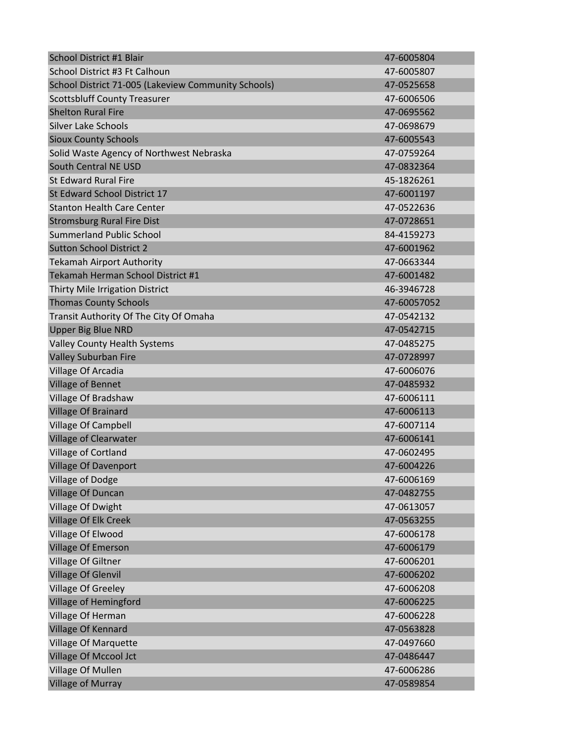| School District #1 Blair                            | 47-6005804  |
|-----------------------------------------------------|-------------|
| School District #3 Ft Calhoun                       | 47-6005807  |
| School District 71-005 (Lakeview Community Schools) | 47-0525658  |
| <b>Scottsbluff County Treasurer</b>                 | 47-6006506  |
| <b>Shelton Rural Fire</b>                           | 47-0695562  |
| <b>Silver Lake Schools</b>                          | 47-0698679  |
| <b>Sioux County Schools</b>                         | 47-6005543  |
| Solid Waste Agency of Northwest Nebraska            | 47-0759264  |
| South Central NE USD                                | 47-0832364  |
| <b>St Edward Rural Fire</b>                         | 45-1826261  |
| St Edward School District 17                        | 47-6001197  |
| <b>Stanton Health Care Center</b>                   | 47-0522636  |
| <b>Stromsburg Rural Fire Dist</b>                   | 47-0728651  |
| <b>Summerland Public School</b>                     | 84-4159273  |
| <b>Sutton School District 2</b>                     | 47-6001962  |
| <b>Tekamah Airport Authority</b>                    | 47-0663344  |
| Tekamah Herman School District #1                   | 47-6001482  |
| Thirty Mile Irrigation District                     | 46-3946728  |
| <b>Thomas County Schools</b>                        | 47-60057052 |
| Transit Authority Of The City Of Omaha              | 47-0542132  |
| <b>Upper Big Blue NRD</b>                           | 47-0542715  |
| <b>Valley County Health Systems</b>                 | 47-0485275  |
| <b>Valley Suburban Fire</b>                         | 47-0728997  |
| Village Of Arcadia                                  | 47-6006076  |
| <b>Village of Bennet</b>                            | 47-0485932  |
| Village Of Bradshaw                                 | 47-6006111  |
| <b>Village Of Brainard</b>                          | 47-6006113  |
| <b>Village Of Campbell</b>                          | 47-6007114  |
| <b>Village of Clearwater</b>                        | 47-6006141  |
| Village of Cortland                                 | 47-0602495  |
| <b>Village Of Davenport</b>                         | 47-6004226  |
| Village of Dodge                                    | 47-6006169  |
| <b>Village Of Duncan</b>                            | 47-0482755  |
| Village Of Dwight                                   | 47-0613057  |
| <b>Village Of Elk Creek</b>                         | 47-0563255  |
| Village Of Elwood                                   | 47-6006178  |
| <b>Village Of Emerson</b>                           | 47-6006179  |
| Village Of Giltner                                  | 47-6006201  |
| <b>Village Of Glenvil</b>                           | 47-6006202  |
| <b>Village Of Greeley</b>                           | 47-6006208  |
| Village of Hemingford                               | 47-6006225  |
| Village Of Herman                                   | 47-6006228  |
| <b>Village Of Kennard</b>                           | 47-0563828  |
| <b>Village Of Marquette</b>                         | 47-0497660  |
| Village Of Mccool Jct                               | 47-0486447  |
| Village Of Mullen                                   | 47-6006286  |
| <b>Village of Murray</b>                            | 47-0589854  |